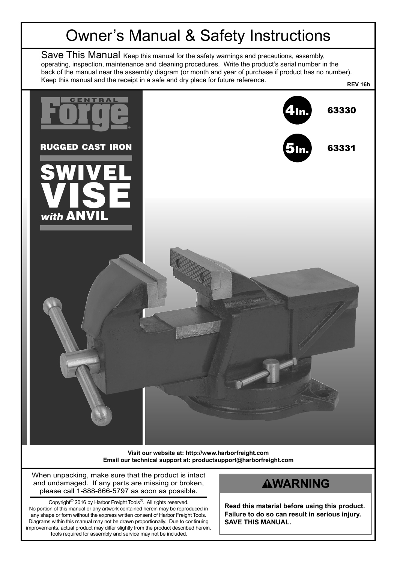# Owner's Manual & Safety Instructions

Save This Manual Keep this manual for the safety warnings and precautions, assembly, operating, inspection, maintenance and cleaning procedures. Write the product's serial number in the back of the manual near the assembly diagram (or month and year of purchase if product has no number). Keep this manual and the receipt in a safe and dry place for future reference.



**Visit our website at: http://www.harborfreight.com Email our technical support at: productsupport@harborfreight.com**

When unpacking, make sure that the product is intact and undamaged. If any parts are missing or broken, please call 1-888-866-5797 as soon as possible.

Copyright© 2016 by Harbor Freight Tools®. All rights reserved. No portion of this manual or any artwork contained herein may be reproduced in any shape or form without the express written consent of Harbor Freight Tools. Diagrams within this manual may not be drawn proportionally. Due to continuing improvements, actual product may differ slightly from the product described herein. Tools required for assembly and service may not be included.

### **AWARNING**

**Read this material before using this product. Failure to do so can result in serious injury. SAVE THIS MANUAL.**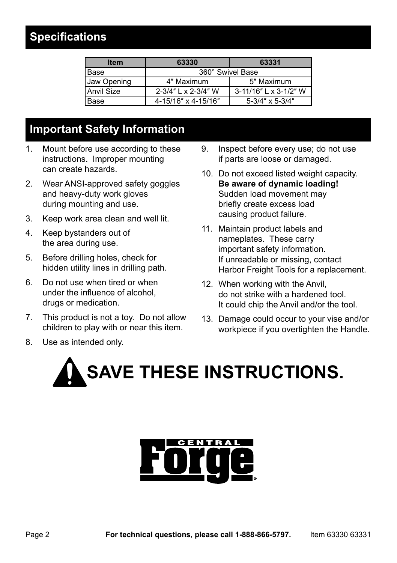## **Specifications**

| <b>Item</b> | 63330               | 63331                      |  |
|-------------|---------------------|----------------------------|--|
| Base        | 360° Swivel Base    |                            |  |
| Jaw Opening | 4" Maximum          | 5" Maximum                 |  |
| Anvil Size  | 2-3/4" L x 2-3/4" W | 3-11/16" L x 3-1/2" W      |  |
| Base        | 4-15/16" x 4-15/16" | $5 - 3/4" \times 5 - 3/4"$ |  |

## **Important Safety Information**

- 1. Mount before use according to these instructions. Improper mounting can create hazards.
- 2. Wear ANSI-approved safety goggles and heavy-duty work gloves during mounting and use.
- 3. Keep work area clean and well lit.
- 4. Keep bystanders out of the area during use.
- 5. Before drilling holes, check for hidden utility lines in drilling path.
- 6. Do not use when tired or when under the influence of alcohol, drugs or medication.
- 7. This product is not a toy. Do not allow children to play with or near this item.
- 8. Use as intended only.
- 9. Inspect before every use; do not use if parts are loose or damaged.
- 10. Do not exceed listed weight capacity. **Be aware of dynamic loading!** Sudden load movement may briefly create excess load causing product failure.
- 11. Maintain product labels and nameplates. These carry important safety information. If unreadable or missing, contact Harbor Freight Tools for a replacement.
- 12. When working with the Anvil, do not strike with a hardened tool. It could chip the Anvil and/or the tool.
- 13. Damage could occur to your vise and/or workpiece if you overtighten the Handle.



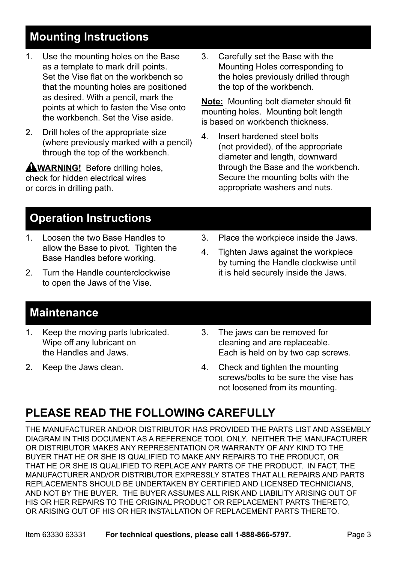## **Mounting Instructions**

- 1. Use the mounting holes on the Base as a template to mark drill points. Set the Vise flat on the workbench so that the mounting holes are positioned as desired. With a pencil, mark the points at which to fasten the Vise onto the workbench. Set the Vise aside.
- 2. Drill holes of the appropriate size (where previously marked with a pencil) through the top of the workbench.

**WARNING!** Before drilling holes, check for hidden electrical wires or cords in drilling path.

3. Carefully set the Base with the Mounting Holes corresponding to the holes previously drilled through the top of the workbench.

**Note:** Mounting bolt diameter should fit mounting holes. Mounting bolt length is based on workbench thickness.

4. Insert hardened steel bolts (not provided), of the appropriate diameter and length, downward through the Base and the workbench. Secure the mounting bolts with the appropriate washers and nuts.

## **Operation Instructions**

- 1. Loosen the two Base Handles to allow the Base to pivot. Tighten the Base Handles before working.
- 2. Turn the Handle counterclockwise to open the Jaws of the Vise.
- 3. Place the workpiece inside the Jaws.
- 4. Tighten Jaws against the workpiece by turning the Handle clockwise until it is held securely inside the Jaws.

#### **Maintenance**

- 1. Keep the moving parts lubricated. Wipe off any lubricant on the Handles and Jaws.
- 2. Keep the Jaws clean.
- 3. The jaws can be removed for cleaning and are replaceable. Each is held on by two cap screws.
- 4. Check and tighten the mounting screws/bolts to be sure the vise has not loosened from its mounting.

## **PLEASE READ THE FOLLOWING CAREFULLY**

THE MANUFACTURER AND/OR DISTRIBUTOR HAS PROVIDED THE PARTS LIST AND ASSEMBLY DIAGRAM IN THIS DOCUMENT AS A REFERENCE TOOL ONLY. NEITHER THE MANUFACTURER OR DISTRIBUTOR MAKES ANY REPRESENTATION OR WARRANTY OF ANY KIND TO THE BUYER THAT HE OR SHE IS QUALIFIED TO MAKE ANY REPAIRS TO THE PRODUCT, OR THAT HE OR SHE IS QUALIFIED TO REPLACE ANY PARTS OF THE PRODUCT. IN FACT, THE MANUFACTURER AND/OR DISTRIBUTOR EXPRESSLY STATES THAT ALL REPAIRS AND PARTS REPLACEMENTS SHOULD BE UNDERTAKEN BY CERTIFIED AND LICENSED TECHNICIANS, AND NOT BY THE BUYER. THE BUYER ASSUMES ALL RISK AND LIABILITY ARISING OUT OF HIS OR HER REPAIRS TO THE ORIGINAL PRODUCT OR REPLACEMENT PARTS THERETO, OR ARISING OUT OF HIS OR HER INSTALLATION OF REPLACEMENT PARTS THERETO.